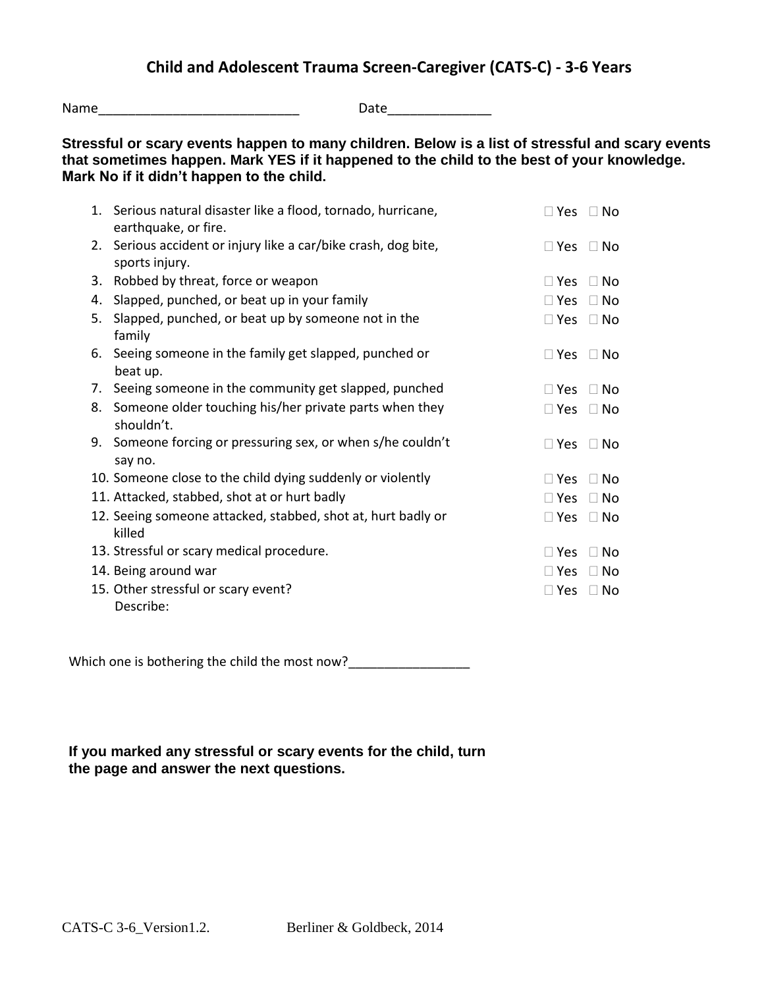Name\_\_\_\_\_\_\_\_\_\_\_\_\_\_\_\_\_\_\_\_\_\_\_\_\_\_\_ Date\_\_\_\_\_\_\_\_\_\_\_\_\_\_ **Stressful or scary events happen to many children. Below is a list of stressful and scary events that sometimes happen. Mark YES if it happened to the child to the best of your knowledge. Mark No if it didn't happen to the child.** 1. Serious natural disaster like a flood, tornado, hurricane, earthquake, or fire.  $\Box$  Yes  $\Box$  No 2. Serious accident or injury like a car/bike crash, dog bite, sports injury.  $\Box$  Yes  $\Box$  No 3. Robbed by threat, force or weapon  $\Box$  Yes  $\Box$  No 4. Slapped, punched, or beat up in your family  $\Box$  Yes  $\Box$  No 5. Slapped, punched, or beat up by someone not in the family  $\Box$  Yes  $\Box$  No 6. Seeing someone in the family get slapped, punched or beat up.  $\Box$  Yes  $\Box$  No 7. Seeing someone in the community get slapped, punched  $\Box$  Yes  $\Box$  No 8. Someone older touching his/her private parts when they shouldn't.  $\Box$  Yes  $\Box$  No 9. Someone forcing or pressuring sex, or when s/he couldn't say no.  $\Box$  Yes  $\Box$  No 10. Someone close to the child dying suddenly or violently  $\Box$  Yes  $\Box$  No 11. Attacked, stabbed, shot at or hurt badly  $\Box$  Yes  $\Box$  Yes  $\Box$  No 12. Seeing someone attacked, stabbed, shot at, hurt badly or killed  $\Box$  Yes  $\Box$  No 13. Stressful or scary medical procedure.  $\Box$  Yes  $\Box$  No 14. Being around war **Yes in the USA CONSTANT CONSTRUCT OF A CONSTRUCT CONSTRUCT OF A CONSTRUCT OF A CONSTRUCT** 15. Other stressful or scary event? Describe:  $\Box$  Yes  $\Box$  No

Which one is bothering the child the most now?

## **If you marked any stressful or scary events for the child, turn the page and answer the next questions.**